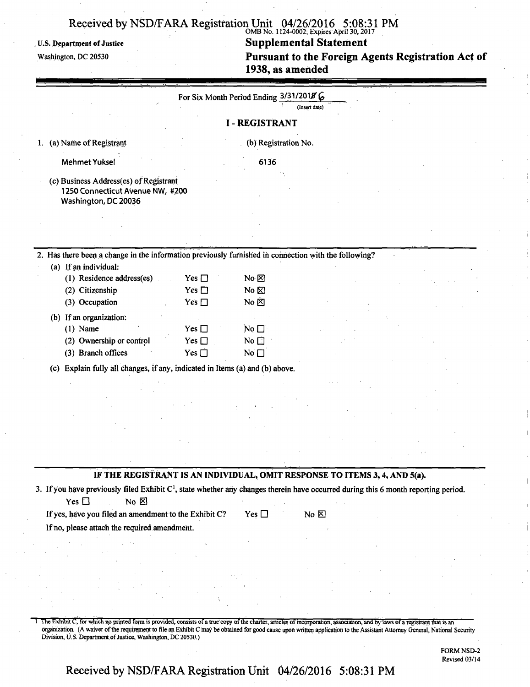# OMB No. 1124-0002; Expires April 30,2017

**u.s. Department of justice Supplemental Statement**  Pursuant to the Foreign Agents Registration Act of **1938, as amended** 

|                                                                                                                                                |               | For Six Month Period Ending 3/31/2018 6 | (Insert date)  |  |
|------------------------------------------------------------------------------------------------------------------------------------------------|---------------|-----------------------------------------|----------------|--|
|                                                                                                                                                |               |                                         |                |  |
|                                                                                                                                                |               | <b>I-REGISTRANT</b>                     |                |  |
| (a) Name of Registrant<br>1.                                                                                                                   |               | (b) Registration No.                    |                |  |
| <b>Mehmet Yuksel</b>                                                                                                                           |               | 6136                                    |                |  |
| (c) Business Address(es) of Registrant                                                                                                         |               |                                         |                |  |
| 1250 Connecticut Avenue NW, #200                                                                                                               |               |                                         |                |  |
| Washington, DC 20036                                                                                                                           |               |                                         |                |  |
|                                                                                                                                                |               |                                         |                |  |
|                                                                                                                                                |               |                                         |                |  |
|                                                                                                                                                |               |                                         |                |  |
| 2. Has there been a change in the information previously furnished in connection with the following?                                           |               |                                         |                |  |
| (a) If an individual:                                                                                                                          |               |                                         |                |  |
| (1) Residence address(es)                                                                                                                      | Yes $\Box$    | $No & \boxtimes$                        |                |  |
| (2) Citizenship                                                                                                                                | Yes $\Box$    | No $\boxtimes$                          |                |  |
| (3) Occupation                                                                                                                                 | Yes $\Box$    | No $\overline{\boxtimes}$               |                |  |
| (b) If an organization:                                                                                                                        |               |                                         |                |  |
| $(1)$ Name                                                                                                                                     | Yes $\square$ | No $\square$                            |                |  |
| (2) Ownership or control                                                                                                                       | Yes $\square$ | No <sub>1</sub>                         |                |  |
| (3) Branch offices                                                                                                                             | Yes $\square$ | No $\square$                            |                |  |
|                                                                                                                                                |               |                                         |                |  |
| (c) Explain fully all changes, if any, indicated in Items (a) and (b) above.                                                                   |               |                                         |                |  |
|                                                                                                                                                |               |                                         |                |  |
|                                                                                                                                                |               |                                         |                |  |
|                                                                                                                                                |               |                                         |                |  |
|                                                                                                                                                |               |                                         |                |  |
|                                                                                                                                                |               |                                         |                |  |
|                                                                                                                                                |               |                                         |                |  |
|                                                                                                                                                |               |                                         |                |  |
| IF THE REGISTRANT IS AN INDIVIDUAL, OMIT RESPONSE TO ITEMS 3, 4, AND 5(a).                                                                     |               |                                         |                |  |
|                                                                                                                                                |               |                                         |                |  |
| 3. If you have previously filed Exhibit C <sup>1</sup> , state whether any changes therein have occurred during this 6 month reporting period. |               |                                         |                |  |
| Yes $\square$<br>$No \boxtimes$                                                                                                                |               |                                         |                |  |
| If yes, have you filed an amendment to the Exhibit C?                                                                                          |               | Yes $\square$                           | No $\boxtimes$ |  |
| If no, please attach the required amendment.                                                                                                   |               |                                         |                |  |
|                                                                                                                                                |               |                                         |                |  |
|                                                                                                                                                |               |                                         |                |  |
|                                                                                                                                                |               |                                         |                |  |
|                                                                                                                                                |               |                                         |                |  |
|                                                                                                                                                |               |                                         |                |  |
|                                                                                                                                                |               |                                         |                |  |
|                                                                                                                                                |               |                                         |                |  |

1 The Exhibit C, for which no printed form is provided, consists of a true copy of the charter, articles of incorporation, association, and by laws of a registrant that is an organization. (A waiver of the requirement to file an Exhibit C may be obtained for good cause upon written application to the Assistant Attorney General, National Security Division, U.S. Department of Justice, Washington, DC 20530.)

> FORM NSD-2 Revised 03/14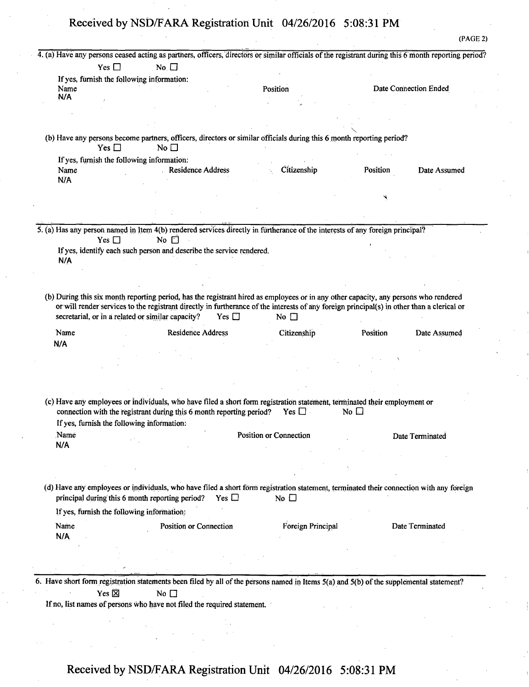|                                                           |                                                                                      | 4. (a) Have any persons ceased acting as partners, officers, directors or similar officials of the registrant during this 6 month reporting period? |           |                       |
|-----------------------------------------------------------|--------------------------------------------------------------------------------------|-----------------------------------------------------------------------------------------------------------------------------------------------------|-----------|-----------------------|
| Yes $\square$                                             | No $\Box$                                                                            |                                                                                                                                                     |           |                       |
| If yes, furnish the following information:                |                                                                                      |                                                                                                                                                     |           |                       |
| Name<br>N/A                                               |                                                                                      | Position                                                                                                                                            |           | Date Connection Ended |
|                                                           |                                                                                      |                                                                                                                                                     |           |                       |
|                                                           |                                                                                      |                                                                                                                                                     |           |                       |
|                                                           |                                                                                      | (b) Have any persons become partners, officers, directors or similar officials during this 6 month reporting period?                                |           |                       |
| Yes $\Box$                                                | No $\square$                                                                         |                                                                                                                                                     |           |                       |
| If yes, furnish the following information:                |                                                                                      |                                                                                                                                                     |           |                       |
| Name<br>N/A                                               | <b>Residence Address</b>                                                             | Citizenship                                                                                                                                         | Position  | Date Assumed          |
|                                                           |                                                                                      |                                                                                                                                                     |           |                       |
|                                                           |                                                                                      |                                                                                                                                                     |           |                       |
|                                                           |                                                                                      |                                                                                                                                                     |           |                       |
|                                                           |                                                                                      | 5. (a) Has any person named in Item 4(b) rendered services directly in furtherance of the interests of any foreign principal?                       |           |                       |
| Yes $\Box$                                                | No $\square$<br>If yes, identify each such person and describe the service rendered. |                                                                                                                                                     |           |                       |
| N/A                                                       |                                                                                      |                                                                                                                                                     |           |                       |
|                                                           |                                                                                      |                                                                                                                                                     |           |                       |
|                                                           |                                                                                      |                                                                                                                                                     |           |                       |
| secretarial, or in a related or similar capacity?<br>Name | <b>Residence Address</b>                                                             | Citizenship                                                                                                                                         | Position  | Date Assumed          |
|                                                           |                                                                                      |                                                                                                                                                     |           |                       |
| N/A                                                       |                                                                                      |                                                                                                                                                     |           |                       |
|                                                           |                                                                                      |                                                                                                                                                     |           |                       |
|                                                           |                                                                                      |                                                                                                                                                     |           |                       |
|                                                           |                                                                                      |                                                                                                                                                     |           |                       |
|                                                           | connection with the registrant during this 6 month reporting period?                 | (c) Have any employees or individuals, who have filed a short form registration statement, terminated their employment or<br>Yes $\square$ .        | No $\Box$ |                       |
| If yes, furnish the following information:                |                                                                                      |                                                                                                                                                     |           |                       |
| Name<br>N/A                                               |                                                                                      | Position or Connection                                                                                                                              |           | Date Terminated       |
|                                                           |                                                                                      |                                                                                                                                                     |           |                       |
|                                                           |                                                                                      |                                                                                                                                                     |           |                       |
|                                                           |                                                                                      | (d) Have any employees or individuals, who have filed a short form registration statement, terminated their connection with any foreign             |           |                       |
| principal during this 6 month reporting period?           | Yes $\Box$                                                                           | No $\square$                                                                                                                                        |           |                       |
| If yes, furnish the following information:<br>Name        | Position or Connection                                                               | <b>Foreign Principal</b>                                                                                                                            |           | Date Terminated       |
| N/A                                                       |                                                                                      |                                                                                                                                                     |           |                       |
|                                                           |                                                                                      |                                                                                                                                                     |           |                       |
|                                                           |                                                                                      |                                                                                                                                                     |           |                       |
|                                                           |                                                                                      |                                                                                                                                                     |           |                       |
|                                                           |                                                                                      | 6. Have short form registration statements been filed by all of the persons named in Items 5(a) and 5(b) of the supplemental statement?             |           |                       |
| Yes $\overline{\boxtimes}$                                | No $\square$                                                                         |                                                                                                                                                     |           |                       |
|                                                           | If no, list names of persons who have not filed the required statement.              |                                                                                                                                                     |           |                       |
|                                                           |                                                                                      |                                                                                                                                                     |           |                       |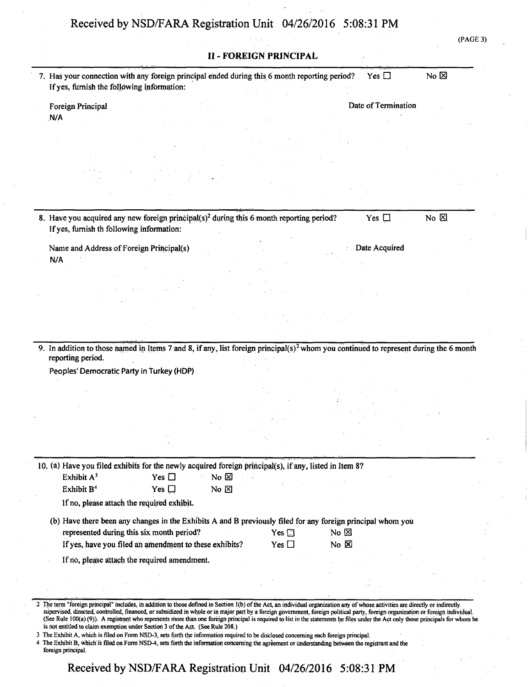(PAGE 3)

| 7. Has your connection with any foreign principal ended during this 6 month reporting period?<br>If yes, furnish the following information:                            |                |            |                | Yes $\Box$          | No $\boxtimes$ |  |
|------------------------------------------------------------------------------------------------------------------------------------------------------------------------|----------------|------------|----------------|---------------------|----------------|--|
| Foreign Principal                                                                                                                                                      |                |            |                | Date of Termination |                |  |
| N/A                                                                                                                                                                    |                |            |                |                     |                |  |
|                                                                                                                                                                        |                |            |                |                     |                |  |
|                                                                                                                                                                        |                |            |                |                     |                |  |
|                                                                                                                                                                        |                |            |                |                     |                |  |
|                                                                                                                                                                        |                |            |                |                     |                |  |
| 8. Have you acquired any new foreign principal(s) <sup>2</sup> during this 6 month reporting period?<br>If yes, furnish th following information:                      |                |            |                | Yes $\square$       | No $\boxtimes$ |  |
| Name and Address of Foreign Principal(s)                                                                                                                               |                |            |                | Date Acquired       |                |  |
| N/A                                                                                                                                                                    |                |            |                |                     |                |  |
|                                                                                                                                                                        |                |            |                |                     |                |  |
|                                                                                                                                                                        |                |            |                |                     |                |  |
|                                                                                                                                                                        |                |            |                |                     |                |  |
|                                                                                                                                                                        |                |            |                |                     |                |  |
|                                                                                                                                                                        |                |            |                |                     |                |  |
|                                                                                                                                                                        |                |            |                |                     |                |  |
| 9. In addition to those named in Items 7 and 8, if any, list foreign principal(s) <sup>2</sup> whom you continued to represent during the 6 month<br>reporting period. |                |            |                |                     |                |  |
| Peoples' Democratic Party in Turkey (HDP)                                                                                                                              |                |            |                |                     |                |  |
|                                                                                                                                                                        |                |            |                |                     |                |  |
|                                                                                                                                                                        |                |            |                |                     |                |  |
|                                                                                                                                                                        |                |            |                |                     |                |  |
|                                                                                                                                                                        |                |            |                |                     |                |  |
|                                                                                                                                                                        |                |            |                |                     |                |  |
|                                                                                                                                                                        |                |            |                |                     |                |  |
| 10. (a) Have you filed exhibits for the newly acquired foreign principal(s), if any, listed in Item 8?<br>Exhibit $A^3$<br>Yes $\Box$                                  | No $\boxtimes$ |            |                |                     |                |  |
| Exhibit B <sup>4</sup><br>Yes $\square$                                                                                                                                | No $\boxtimes$ |            |                |                     |                |  |
| If no, please attach the required exhibit.                                                                                                                             |                |            |                |                     |                |  |
| (b) Have there been any changes in the Exhibits A and B previously filed for any foreign principal whom you                                                            |                |            |                |                     |                |  |
| represented during this six month period?                                                                                                                              |                | $Yes \Box$ | No $\boxtimes$ |                     |                |  |
| If yes, have you filed an amendment to these exhibits?                                                                                                                 |                | Yes $\Box$ | $No \times$    |                     |                |  |
| If no, please attach the required amendment.                                                                                                                           |                |            |                |                     |                |  |
|                                                                                                                                                                        |                |            |                |                     |                |  |
|                                                                                                                                                                        |                |            |                |                     |                |  |

4 The Exhibit B, which is filed on Form NSD-4, sets forth the information concerning the agreement or understanding between the registrant and the foreign principal.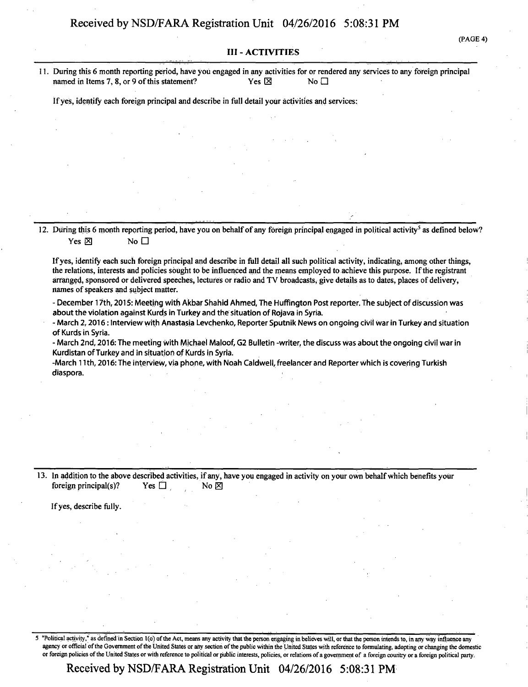#### **III - ACTIVITIES**

**11. During this 6 month reporting period, have you engaged in any activities for or rendered any services to any foreign principal named in Items 7, 8, or 9 of this statement?** Yes  $\boxtimes$  Yes  $\boxtimes$ 

**Ifyes, identify each foreign principal and describe in full detail your activities and services:** 

**12. During this 6 month reporting period, have you on behalf of any foreign principal engaged in political activity<sup>5</sup> as defined below?**   $Yes \boxtimes$  No  $\square$ 

**Ifyes, identify each such foreign principal and describe in full detail all such political activity, indicating, among other things, the relations, interests and policies sought to be influenced and the means employed to achieve this purpose. If the registrant arranged, sponsored or delivered speeches, lectures or radio and TV broadcasts, give details as to dates, places of delivery, names of speakers and subject matter.** 

**- December 17th, 2015: Meeting with Akbar Shahid Ahmed, The HufTington Post reporter, the subject of discussion was about the violation against Kurds in Turkey and the situation of Rojava in Syria.** 

**- March 2,2016: Interview with Anastasia Levchenko, Reporter Sputnik News on ongoing civil war in Turkey and situation of Kurds in Syria.** 

**- March 2nd, 2016: The meeting with Michael Maloof, G2 Bulletin -writer, the discuss was about the ongoing civil war in Kurdistan of Turkey and in situation of Kurds in Syria.** 

**-March 11th, 2016: The interview, via phone, with Noah Caldwell, freelancer and Reporter Which is covering Turkish diaspora.** 

**13. In addition to the above described activities, if any, have you engaged in activity on your own behalf which benefits your foreign principal(s)?** Yes  $\Box$  No  $\boxtimes$ 

**If yes, describe fully.** 

"Political activity," as defined in Section 1(0) of the Act, means any activity that the person engaging in believes will, or that the person intends to, in any way influence any agency or official of the Government of the United States or any section of the public within the United States with reference to formulating, adopting or changing the domestic or foreign policies of the United States or with reference to political or public interests, policies, or relations of a government of a foreign country or a foreign political party.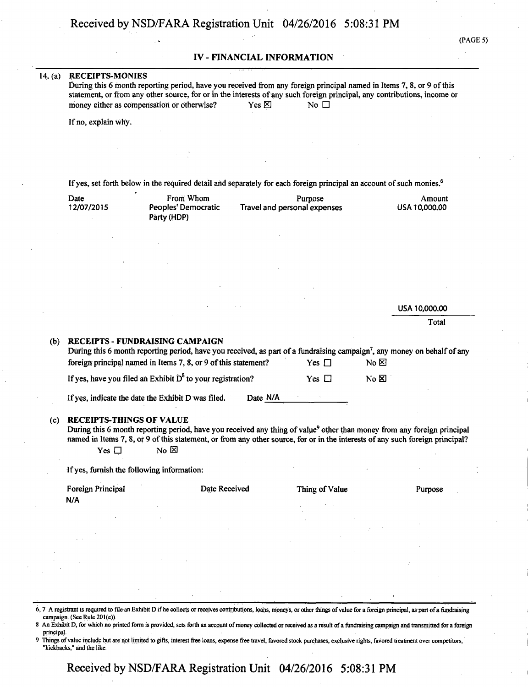#### **IV - FINANCIAL INFORMATION**

#### **14. (a) RECEIPTS-MONIES**

|                                            |                 | During this 6 month reporting period, have you received from any foreign principal named in Items 7, 8, or 9 of this     |  |
|--------------------------------------------|-----------------|--------------------------------------------------------------------------------------------------------------------------|--|
|                                            |                 | statement, or from any other source, for or in the interests of any such foreign principal, any contributions, income or |  |
| money either as compensation or otherwise? | Yes $\boxtimes$ | No <sub>1</sub>                                                                                                          |  |

**If no, explain why.** 

**If yes, set forth below in the required detail and separately for each foreign principal an account of such monies.<sup>6</sup>**

| Date       | From Whom           | Purpose                      | Amount        |
|------------|---------------------|------------------------------|---------------|
| 12/07/2015 | Peoples' Democratic | Travel and personal expenses | USA 10,000,00 |
|            | Party (HDP)         |                              |               |

USA 10,000.00

Total

**(b) RECEIPTS - FUNDRAISING CAMPAIGN During this 6 month reporting period, have you received, as part of a fundraising campaign<sup>7</sup> , any money on behalf of any foreign principal named in Items 7, 8, or 9 of this statement?** Yes  $\Box$  No  $\boxtimes$ **If yes, have you filed an Exhibit D**<sup>8</sup> to your registration? **The S** Yes  $\Box$  No **B**  $\Box$ **If yes, indicate the date the Exhibit D was filed. Date N/A (c) RECEIPTS-THINGS OF VALUE**  During this 6 month reporting period, have you received any thing of value<sup>9</sup> other than money from any foreign principal **named in Items 7,8, or 9 of this statement, or from any other source, for or in the interests of any such foreign principal?**   $Yes \Box$  No  $\boxtimes$ 

**If yes, furnish the following information:** 

**Foreign Principal 2018** Date Received Thing of Value Purpose **N/A** 

- 6,7 A registrant is required to file an Exhibit D if he collects or receives contributions, loans, moneys, or other things of value for a foreign principal, as part of a fundraising campaign. (See Rule 201(e)).
- 8 An Exhibit D, for which no printed form is provided, sets forth an account of money collected or received as a result of a fundraising campaign and transmitted for a foreign principal.
- Things of value include but are not limited to gifts, interest free loans, expense free travel, favored stock purchases, exclusive rights, favored treatment over competitors, "kickbacks," and the like.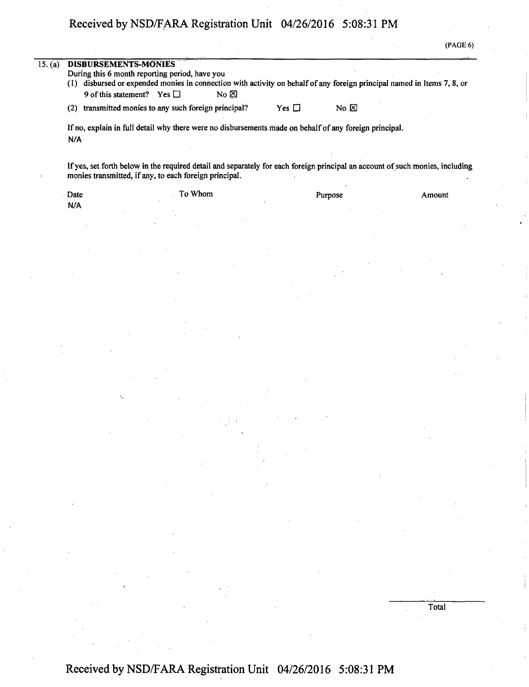(PAGE 6)

| (2)<br>N/A | (1) disbursed or expended monies in connection with activity on behalf of any foreign principal named in Items 7, 8, or<br>9 of this statement? Yes $\Box$<br>No $\boxtimes$<br>No $\boxtimes$<br>transmitted monies to any such foreign principal?<br>$Yes \Box$<br>If no, explain in full detail why there were no disbursements made on behalf of any foreign principal.<br>If yes, set forth below in the required detail and separately for each foreign principal an account of such monies, including<br>monies transmitted, if any, to each foreign principal.<br>To Whom<br>Purpose<br>Amount | 15. (a)<br>DISBURSEMENTS-MONIES |                                                |  |  |
|------------|--------------------------------------------------------------------------------------------------------------------------------------------------------------------------------------------------------------------------------------------------------------------------------------------------------------------------------------------------------------------------------------------------------------------------------------------------------------------------------------------------------------------------------------------------------------------------------------------------------|---------------------------------|------------------------------------------------|--|--|
|            |                                                                                                                                                                                                                                                                                                                                                                                                                                                                                                                                                                                                        |                                 | During this 6 month reporting period, have you |  |  |
|            |                                                                                                                                                                                                                                                                                                                                                                                                                                                                                                                                                                                                        |                                 |                                                |  |  |
|            |                                                                                                                                                                                                                                                                                                                                                                                                                                                                                                                                                                                                        |                                 |                                                |  |  |
|            |                                                                                                                                                                                                                                                                                                                                                                                                                                                                                                                                                                                                        |                                 |                                                |  |  |
|            |                                                                                                                                                                                                                                                                                                                                                                                                                                                                                                                                                                                                        |                                 |                                                |  |  |
|            |                                                                                                                                                                                                                                                                                                                                                                                                                                                                                                                                                                                                        |                                 |                                                |  |  |
|            |                                                                                                                                                                                                                                                                                                                                                                                                                                                                                                                                                                                                        |                                 |                                                |  |  |
|            |                                                                                                                                                                                                                                                                                                                                                                                                                                                                                                                                                                                                        |                                 |                                                |  |  |
|            |                                                                                                                                                                                                                                                                                                                                                                                                                                                                                                                                                                                                        |                                 |                                                |  |  |
|            |                                                                                                                                                                                                                                                                                                                                                                                                                                                                                                                                                                                                        |                                 |                                                |  |  |
| Date       |                                                                                                                                                                                                                                                                                                                                                                                                                                                                                                                                                                                                        |                                 |                                                |  |  |
| N/A        |                                                                                                                                                                                                                                                                                                                                                                                                                                                                                                                                                                                                        |                                 |                                                |  |  |
|            |                                                                                                                                                                                                                                                                                                                                                                                                                                                                                                                                                                                                        |                                 |                                                |  |  |
|            |                                                                                                                                                                                                                                                                                                                                                                                                                                                                                                                                                                                                        |                                 |                                                |  |  |

Total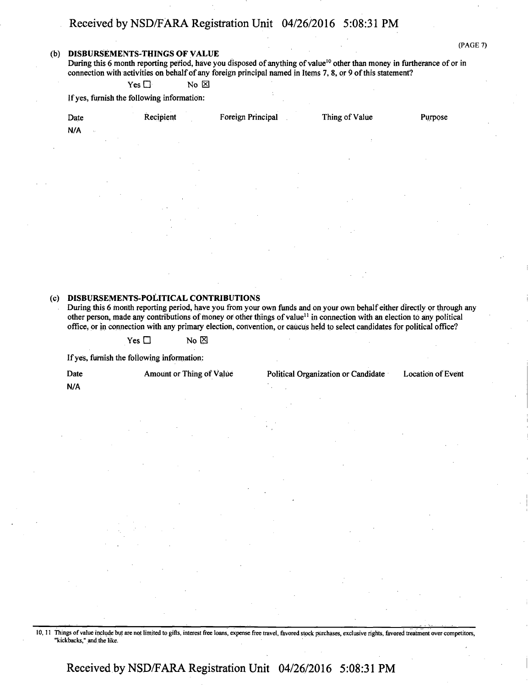#### **(b) DISBURSEMENTS-THINGS OF VALUE**

(PAGE 7)

During this 6 month reporting period, have you disposed of anything of value<sup>10</sup> other than money in furtherance of or in connection with activities on behalf of any foreign principal named in Items 7, 8, or 9 of this statement?

 $Yes \Box$  No  $\boxtimes$ 

If yes, furnish the following information:

| 14<br>Date<br>N/A<br>$\sim$ | $\sim$<br>Recipient | Foreign Principal | Thing of Value | Purpose |
|-----------------------------|---------------------|-------------------|----------------|---------|
| $\cdot$                     | $\sim$              |                   |                |         |
|                             |                     |                   |                | 14.1    |
|                             | $\sim$              |                   |                |         |
| $\bullet$                   | $\sim$              | $\sim$            |                |         |

### **(c) DISBURSEMENTS-POLITICAL CONTRIBUTIONS**

During this 6 month reporting period, have you from your own funds and on your own behalf either directly or through any other person, made any contributions of money or other things of value<sup>11</sup> in connection with an election to any political office, or in connection with any primary election, convention, or caucus held to select candidates for political office?

 $Yes \Box$  No  $\boxtimes$ 

If yes, furnish the following information:

**N/A** 

Date Amount or Thing of Value Political Organization or Candidate Location of Event

10,11 Things of value include but are not limited to gifts, interest free loans, expense free travel, favored stock purchases, exclusive rights, favored treatment over competitors, "kickbacks," and the like.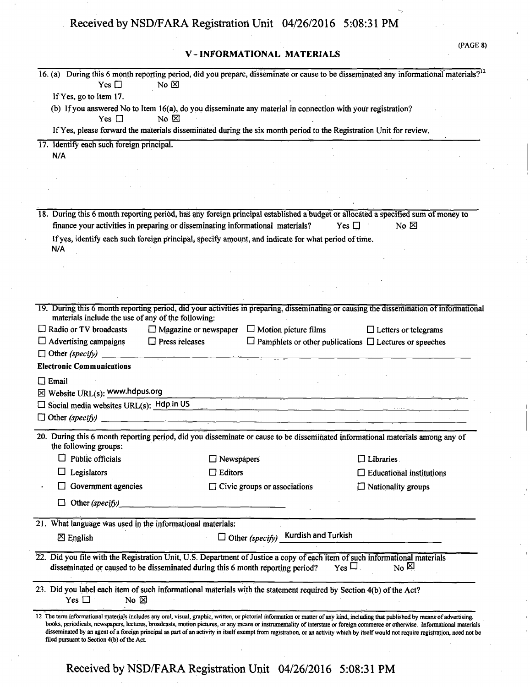**V - INFORMATIONAL MATERIALS** 

(PAGE 8)

| 16. (a) During this 6 month reporting period, did you prepare, disseminate or cause to be disseminated any informational materials? <sup>12</sup><br>Yes $\square$<br>No $\boxtimes$                                                                                                                                                                                                                                                                                                                                                                                                                        |                                                          |                                                                                                                                                                                                                                      |
|-------------------------------------------------------------------------------------------------------------------------------------------------------------------------------------------------------------------------------------------------------------------------------------------------------------------------------------------------------------------------------------------------------------------------------------------------------------------------------------------------------------------------------------------------------------------------------------------------------------|----------------------------------------------------------|--------------------------------------------------------------------------------------------------------------------------------------------------------------------------------------------------------------------------------------|
| If Yes, go to Item 17.                                                                                                                                                                                                                                                                                                                                                                                                                                                                                                                                                                                      |                                                          |                                                                                                                                                                                                                                      |
| (b) If you answered No to Item 16(a), do you disseminate any material in connection with your registration?                                                                                                                                                                                                                                                                                                                                                                                                                                                                                                 |                                                          |                                                                                                                                                                                                                                      |
| No $\boxtimes$<br>Yes $\Box$                                                                                                                                                                                                                                                                                                                                                                                                                                                                                                                                                                                |                                                          |                                                                                                                                                                                                                                      |
| If Yes, please forward the materials disseminated during the six month period to the Registration Unit for review.                                                                                                                                                                                                                                                                                                                                                                                                                                                                                          |                                                          |                                                                                                                                                                                                                                      |
| 17. Identify each such foreign principal.                                                                                                                                                                                                                                                                                                                                                                                                                                                                                                                                                                   |                                                          |                                                                                                                                                                                                                                      |
| N/A                                                                                                                                                                                                                                                                                                                                                                                                                                                                                                                                                                                                         |                                                          |                                                                                                                                                                                                                                      |
|                                                                                                                                                                                                                                                                                                                                                                                                                                                                                                                                                                                                             |                                                          |                                                                                                                                                                                                                                      |
|                                                                                                                                                                                                                                                                                                                                                                                                                                                                                                                                                                                                             |                                                          |                                                                                                                                                                                                                                      |
|                                                                                                                                                                                                                                                                                                                                                                                                                                                                                                                                                                                                             |                                                          |                                                                                                                                                                                                                                      |
|                                                                                                                                                                                                                                                                                                                                                                                                                                                                                                                                                                                                             |                                                          |                                                                                                                                                                                                                                      |
| 18. During this 6 month reporting period, has any foreign principal established a budget or allocated a specified sum of money to<br>finance your activities in preparing or disseminating informational materials?                                                                                                                                                                                                                                                                                                                                                                                         |                                                          | Yes $\Box$<br>$No \n{\boxtimes}$                                                                                                                                                                                                     |
|                                                                                                                                                                                                                                                                                                                                                                                                                                                                                                                                                                                                             |                                                          |                                                                                                                                                                                                                                      |
| If yes, identify each such foreign principal, specify amount, and indicate for what period of time.<br>N/A                                                                                                                                                                                                                                                                                                                                                                                                                                                                                                  |                                                          |                                                                                                                                                                                                                                      |
|                                                                                                                                                                                                                                                                                                                                                                                                                                                                                                                                                                                                             |                                                          |                                                                                                                                                                                                                                      |
|                                                                                                                                                                                                                                                                                                                                                                                                                                                                                                                                                                                                             |                                                          |                                                                                                                                                                                                                                      |
|                                                                                                                                                                                                                                                                                                                                                                                                                                                                                                                                                                                                             |                                                          |                                                                                                                                                                                                                                      |
|                                                                                                                                                                                                                                                                                                                                                                                                                                                                                                                                                                                                             |                                                          |                                                                                                                                                                                                                                      |
| 19. During this 6 month reporting period, did your activities in preparing, disseminating or causing the dissemination of informational<br>materials include the use of any of the following:                                                                                                                                                                                                                                                                                                                                                                                                               |                                                          |                                                                                                                                                                                                                                      |
| $\Box$ Radio or TV broadcasts                                                                                                                                                                                                                                                                                                                                                                                                                                                                                                                                                                               | $\Box$ Magazine or newspaper $\Box$ Motion picture films | $\Box$ Letters or telegrams                                                                                                                                                                                                          |
| $\Box$ Press releases<br>$\Box$ Advertising campaigns                                                                                                                                                                                                                                                                                                                                                                                                                                                                                                                                                       |                                                          | $\Box$ Pamphlets or other publications $\Box$ Lectures or speeches                                                                                                                                                                   |
| $\Box$ Other (specify)                                                                                                                                                                                                                                                                                                                                                                                                                                                                                                                                                                                      |                                                          |                                                                                                                                                                                                                                      |
| <b>Electronic Communications</b>                                                                                                                                                                                                                                                                                                                                                                                                                                                                                                                                                                            |                                                          |                                                                                                                                                                                                                                      |
| $\Box$ Email                                                                                                                                                                                                                                                                                                                                                                                                                                                                                                                                                                                                |                                                          |                                                                                                                                                                                                                                      |
| $\boxtimes$ Website URL(s): www.hdpus.org                                                                                                                                                                                                                                                                                                                                                                                                                                                                                                                                                                   |                                                          |                                                                                                                                                                                                                                      |
| $\Box$ Social media websites URL(s): Hdp in US                                                                                                                                                                                                                                                                                                                                                                                                                                                                                                                                                              |                                                          | <u>and the state of the state of the state of the state of the state of the state of the state of the state of the state of the state of the state of the state of the state of the state of the state of the state of the state</u> |
| $\Box$ Other (specify)<br>and the company of the company of the company                                                                                                                                                                                                                                                                                                                                                                                                                                                                                                                                     |                                                          |                                                                                                                                                                                                                                      |
| 20. During this 6 month reporting period, did you disseminate or cause to be disseminated informational materials among any of<br>the following groups:                                                                                                                                                                                                                                                                                                                                                                                                                                                     |                                                          |                                                                                                                                                                                                                                      |
| Public officials                                                                                                                                                                                                                                                                                                                                                                                                                                                                                                                                                                                            | Newspapers                                               | $\Box$ Libraries                                                                                                                                                                                                                     |
|                                                                                                                                                                                                                                                                                                                                                                                                                                                                                                                                                                                                             |                                                          |                                                                                                                                                                                                                                      |
| Legislators                                                                                                                                                                                                                                                                                                                                                                                                                                                                                                                                                                                                 | $\Box$ Editors                                           | $\Box$ Educational institutions                                                                                                                                                                                                      |
| Government agencies                                                                                                                                                                                                                                                                                                                                                                                                                                                                                                                                                                                         | $\Box$ Civic groups or associations                      | $\Box$ Nationality groups                                                                                                                                                                                                            |
| Other (specify)<br>ப                                                                                                                                                                                                                                                                                                                                                                                                                                                                                                                                                                                        |                                                          |                                                                                                                                                                                                                                      |
| 21. What language was used in the informational materials:                                                                                                                                                                                                                                                                                                                                                                                                                                                                                                                                                  |                                                          |                                                                                                                                                                                                                                      |
| $\boxtimes$ English                                                                                                                                                                                                                                                                                                                                                                                                                                                                                                                                                                                         | $\Box$ Other (specify) Kurdish and Turkish               |                                                                                                                                                                                                                                      |
| 22. Did you file with the Registration Unit, U.S. Department of Justice a copy of each item of such informational materials<br>disseminated or caused to be disseminated during this 6 month reporting period?                                                                                                                                                                                                                                                                                                                                                                                              |                                                          | $Y_{\text{es}}\Box$<br>$N_0$ 의                                                                                                                                                                                                       |
| 23. Did you label each item of such informational materials with the statement required by Section 4(b) of the Act?<br>Yes $\square$<br>No $\boxtimes$                                                                                                                                                                                                                                                                                                                                                                                                                                                      |                                                          |                                                                                                                                                                                                                                      |
| 12 The term informational materials includes any oral, visual, graphic, written, or pictorial information or matter of any kind, including that published by means of advertising,<br>books, periodicals, newspapers, lectures, broadcasts, motion pictures, or any means or instrumentality of interstate or foreign commerce or otherwise. Informational materials<br>disseminated by an agent of a foreign principal as part of an activity in itself exempt from registration, or an activity which by itself would not require registration, need not be<br>filed pursuant to Section 4(b) of the Act. |                                                          |                                                                                                                                                                                                                                      |
| Received by NSD/FARA Registration Unit 04/26/2016 5:08:31 PM                                                                                                                                                                                                                                                                                                                                                                                                                                                                                                                                                |                                                          |                                                                                                                                                                                                                                      |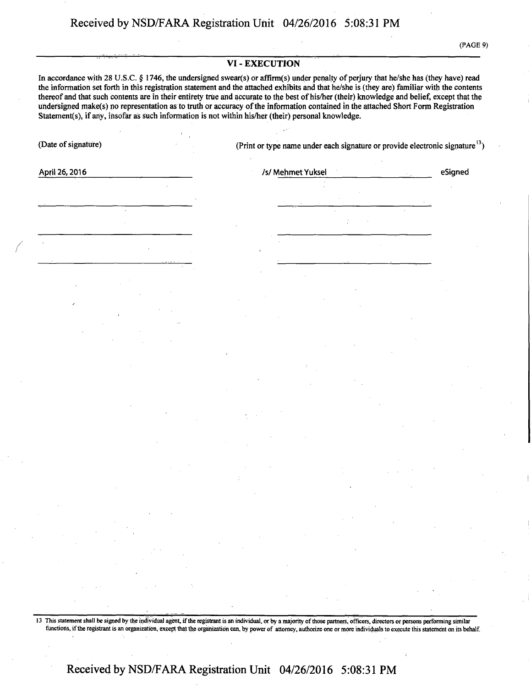#### **VI - EXECUTION**

**In accordance with 28 U.S.C. § 1746, the undersigned swear(s) or affirm(s) under penalty of perjury that he/she has (they have) read the information set forth in this registration statement and the attached exhibits and that he/she is (they are) familiar with the contents thereof and that such contents are in their entirety true and accurate to the best of his/her (their) knowledge and belief, except that the undersigned make(s) no representation as to truth or accuracy of the information contained in the attached Short Form Registration**  Statement(s), if any, insofar as such information is not within his/her (their) personal knowledge.

**(Date of signature) (Print or type name under each signature or provide electronic signature13)** 

**April 26,2016 /s/ Mehmet Yuksel eSigned** 

13 This statement shall be signed by the individual agent, if the registrant is an individual, or by a majority of those partners, officers, directors or persons performing similar functions, if the registrant is an organization, except that the organization can, by power of attorney, authorize one or more individuals to execute this statement on its behalf.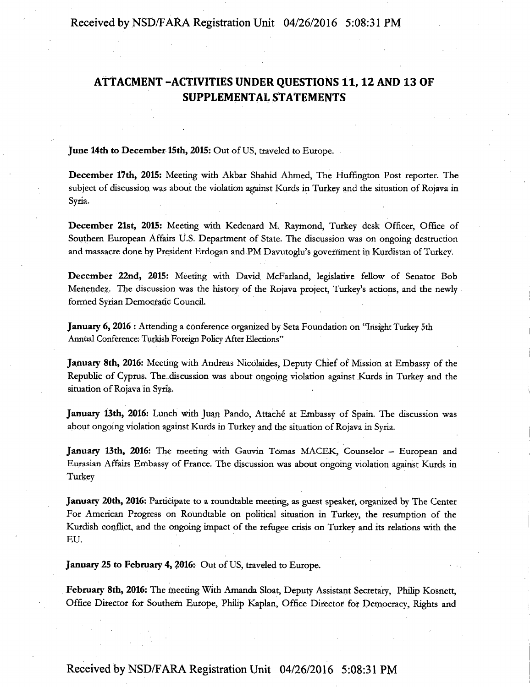## **ATTACMENT -ACTIVITIES UNDER QUESTIONS 11,12 AND 13 OF SUPPLEMENTAL STATEMENTS**

June 14th to December 15th, 2015: Out of US, traveled to Europe.

December 17th, 2015: Meeting with Akbar Shahid Ahmed, The Huffington Post reporter. The subject of discussion was about the violation against Kurds in Turkey and the situation of Rojava in Syria.

December 21st, 2015: Meeting with Kedenard M. Raymond, Turkey desk Officer, Office of Southern European Affairs U.S. Department of State. The discussion was on ongoing destruction and massacre done by President Erdogan and PM Davutoglu's government in Kurdistan of Turkey.

December 22nd, 2015: Meeting with David McFarland, legislative fellow of Senator Bob Menendez. The discussion was the history of the Rojava project, Turkey's actions, and the newly formed Syrian Democratic Council.

January 6, 2016 : Attending a conference organized by Seta Foundation on "Insight Turkey 5th Annual Conference: Turkish Foreign Policy After Elections"

January 8th, 2016: Meeting with Andreas Nicolaides, Deputy Chief of Mission at Embassy of the Republic of Cyprus. The discussion was about ongoing violation against Kurds in Turkey and the situation of Rojava in Syria.

January 13th, 2016: Lunch with Juan Pando, Attaché at Embassy of Spain. The discussion was about ongoing violation against Kurds in Turkey and the situation of Rojava in Syria.

January 13th, 2016: The meeting with Gauvin Tomas MACEK, Counselor — European and Eurasian Affairs Embassy of France. The discussion was about ongoing violation against Kurds in Turkey

January 20th, 2016: Participate to a roundtable meeting, as guest speaker, organized by The Center For American Progress on Roundtable on political situation in Turkey, the resumption of the Kurdish conflict, and the ongoing impact of the refugee crisis on Turkey and its relations with the EU.

January 25 to February 4, 2016: Out of US, traveled to Europe.

February 8th, 2016: The meeting With Amanda Sloat, Deputy Assistant Secretary, Philip Kosnett, Office Director for Southern Europe, Philip Kaplan, Office Director for Democracy, Rights and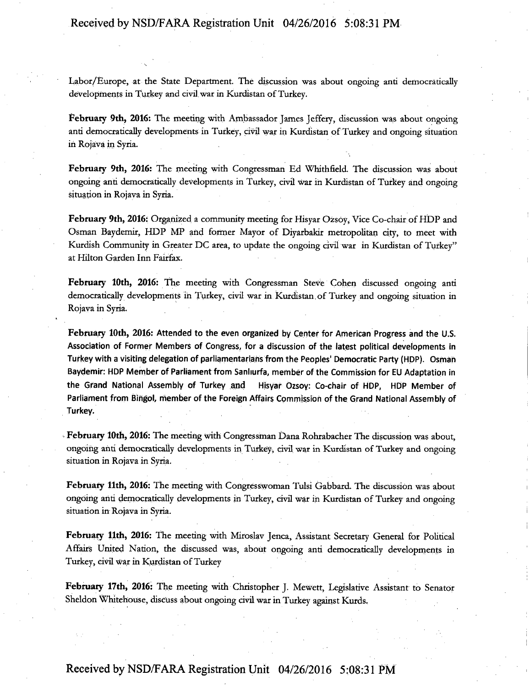Labor/Europe, at the State Department. The discussion was about ongoing anti democratically developments in Turkey and civil war in Kurdistan of Turkey.

February 9th, 2016: The meeting with Ambassador James Jeffery, discussion was about ongoing anti democratically developments in Turkey, civil war in Kurdistan of Turkey and ongoing situation in Rojava in Syria.

February 9th, 2016: The meeting with Congressman Ed Whithfield. The discussion was about ongoing anti democratically developments in Turkey, civil war in Kurdistan of Turkey and ongoing situation in Rojava in Syria.

February 9th, 2016: Organized a community meeting for Hisyar Ozsoy, Vice Co-chair of HDP and Osman Baydemir, HDP MP arid former Mayor of Diyarbakir metropolitan city, to meet with Kurdish Community in Greater DC area, to update the ongoing civil war in Kurdistan of Turkey" at Hilton Garden Inn Fairfax.

February 10th, 2016: The meeting with Congressman Steve Cohen discussed ongoing anti democratically developments in Turkey, civil war in Kurdistan, of Turkey and ongoing situation in Rojava in Syria.

February 10th, 2016: Attended to the even organized by Center for American Progress and the U.S. Association of Former Members of Congress, for a discussion of the latest political developments in Turkey with a visiting delegation of parliamentarians from the Peoples' Democratic Party (HDP). Osman Baydemir: HDP Member of Parliament from Sanhurfa, member of the Commission for EU Adaptation in the Grand National Assembly of Turkey and Hisyar Ozsoy: Co-chair of HDP, HDP Member of Parliament from Bingol, member of the Foreign Affairs Commission of the Grand National Assembly of Turkey.

February 10th, 2016: The meeting with Congressman Dana Rohrabacher The discussion was about, ongoing anti democratically developments in Turkey, civil war in Kurdistan of Turkey and ongoing situation in Rojava in Syria.

February 11th, 2016: The meeting with Congresswoman Tulsi Gabbard. The discussion was about ongoing anti democratically developments in Turkey, civil war in Kurdistan of Turkey and ongoing situation in Rojava in Syria.

February 11th, 2016: The meeting with Miroslav Jenca, Assistant Secretary General for Political Affairs United Nation, the discussed was, about ongoing anti democratically developments in Turkey, civil war in Kurdistan of Turkey

February 17th, 2016: The meeting with Christopher J. Mewett, Legislative Assistant to Senator Sheldon Whitehouse, discuss about ongoing civil war in Turkey against Kurds.